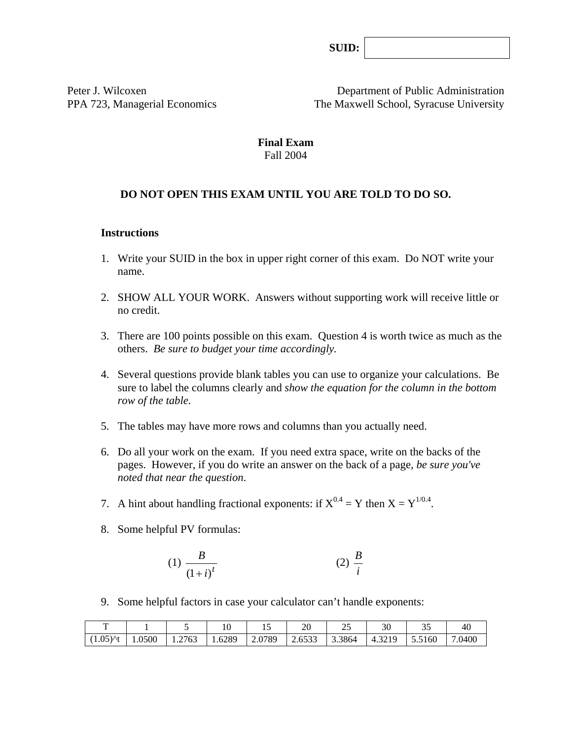**SUID:**

Peter J. Wilcoxen Department of Public Administration PPA 723, Managerial Economics The Maxwell School, Syracuse University

#### **Final Exam**  Fall 2004

## **DO NOT OPEN THIS EXAM UNTIL YOU ARE TOLD TO DO SO.**

#### **Instructions**

- 1. Write your SUID in the box in upper right corner of this exam. Do NOT write your name.
- 2. SHOW ALL YOUR WORK. Answers without supporting work will receive little or no credit.
- 3. There are 100 points possible on this exam. Question 4 is worth twice as much as the others. *Be sure to budget your time accordingly.*
- 4. Several questions provide blank tables you can use to organize your calculations. Be sure to label the columns clearly and *show the equation for the column in the bottom row of the table.*
- 5. The tables may have more rows and columns than you actually need.
- 6. Do all your work on the exam. If you need extra space, write on the backs of the pages. However, if you do write an answer on the back of a page, *be sure you've noted that near the question*.
- 7. A hint about handling fractional exponents: if  $X^{0.4} = Y$  then  $X = Y^{1/0.4}$ .
- 8. Some helpful PV formulas:

$$
(1) \frac{B}{\left(1+i\right)^t} \tag{2} \frac{B}{i}
$$

9. Some helpful factors in case your calculator can't handle exponents:

| —                     |        |        | 1 v    | …                                        | 20                                       | $\sim$<br>$\overline{\phantom{a}}$ | າດ<br>υU | ັ້     | 40     |
|-----------------------|--------|--------|--------|------------------------------------------|------------------------------------------|------------------------------------|----------|--------|--------|
| $(1.05)$ At<br>( 1.UJ | 1.0500 | 1.2763 | 1.6289 | .0789<br>$\mathcal{L}$ . V $\mathcal{L}$ | $\sim$ $\sim$ $\sim$<br>5333<br>د د دن ۲ | 3.3864                             | 4.3219   | 5.5160 | 7.0400 |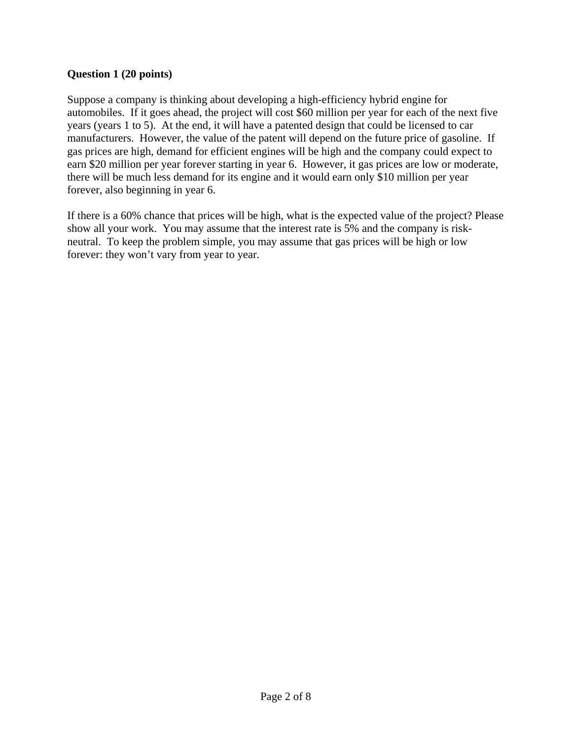### **Question 1 (20 points)**

Suppose a company is thinking about developing a high-efficiency hybrid engine for automobiles. If it goes ahead, the project will cost \$60 million per year for each of the next five years (years 1 to 5). At the end, it will have a patented design that could be licensed to car manufacturers. However, the value of the patent will depend on the future price of gasoline. If gas prices are high, demand for efficient engines will be high and the company could expect to earn \$20 million per year forever starting in year 6. However, it gas prices are low or moderate, there will be much less demand for its engine and it would earn only \$10 million per year forever, also beginning in year 6.

If there is a 60% chance that prices will be high, what is the expected value of the project? Please show all your work. You may assume that the interest rate is 5% and the company is riskneutral. To keep the problem simple, you may assume that gas prices will be high or low forever: they won't vary from year to year.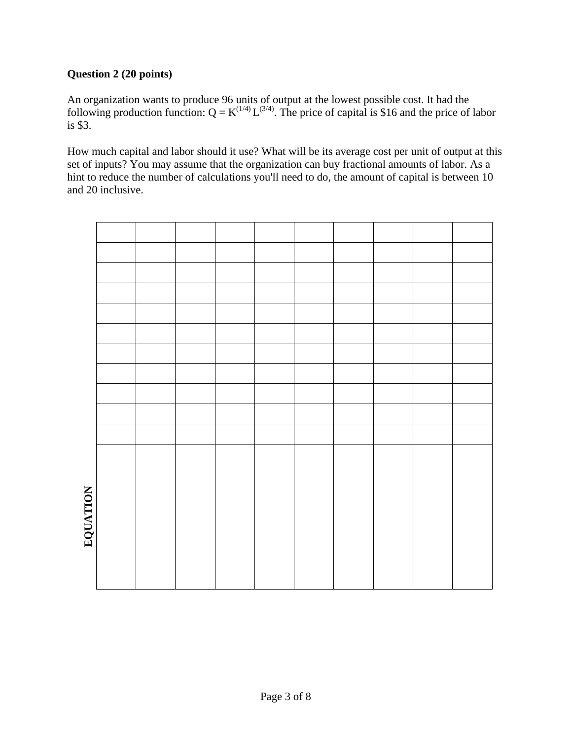# **Question 2 (20 points)**

An organization wants to produce 96 units of output at the lowest possible cost. It had the following production function:  $Q = K^{(1/4)} L^{(3/4)}$ . The price of capital is \$16 and the price of labor is \$3.

How much capital and labor should it use? What will be its average cost per unit of output at this set of inputs? You may assume that the organization can buy fractional amounts of labor. As a hint to reduce the number of calculations you'll need to do, the amount of capital is between 10 and 20 inclusive.

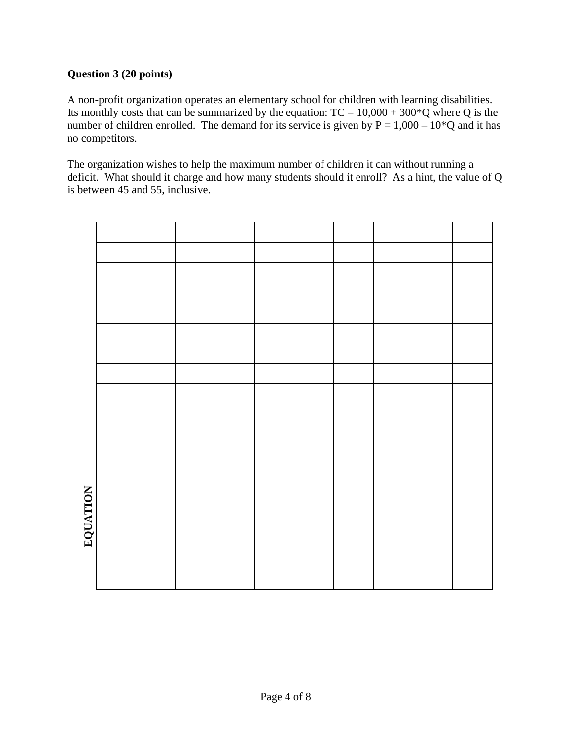# **Question 3 (20 points)**

A non-profit organization operates an elementary school for children with learning disabilities. Its monthly costs that can be summarized by the equation:  $TC = 10,000 + 300^{\circ}Q$  where Q is the number of children enrolled. The demand for its service is given by  $P = 1,000 - 10^{\circ}Q$  and it has no competitors.

The organization wishes to help the maximum number of children it can without running a deficit. What should it charge and how many students should it enroll? As a hint, the value of Q is between 45 and 55, inclusive.

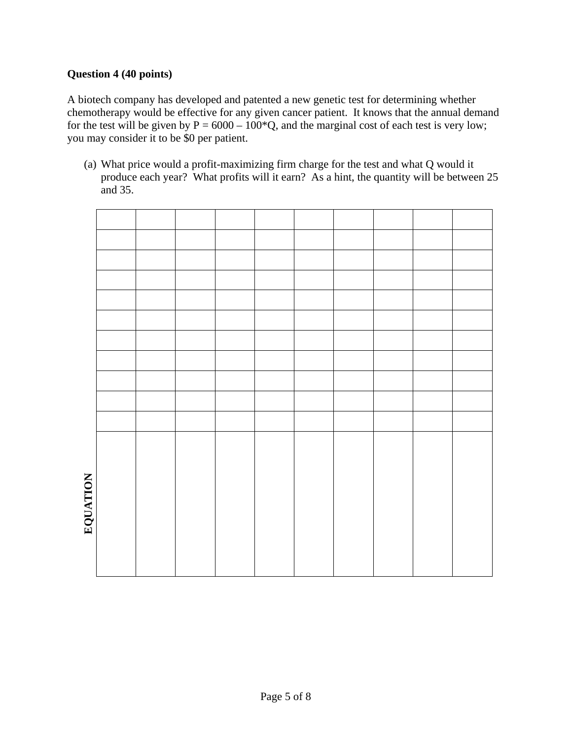## **Question 4 (40 points)**

A biotech company has developed and patented a new genetic test for determining whether chemotherapy would be effective for any given cancer patient. It knows that the annual demand for the test will be given by  $P = 6000 - 100^{\circ}Q$ , and the marginal cost of each test is very low; you may consider it to be \$0 per patient.

(a) What price would a profit-maximizing firm charge for the test and what Q would it produce each year? What profits will it earn? As a hint, the quantity will be between 25 and 35.

| EQUATION |  |  |  |  |  |
|----------|--|--|--|--|--|
|          |  |  |  |  |  |
|          |  |  |  |  |  |
|          |  |  |  |  |  |
|          |  |  |  |  |  |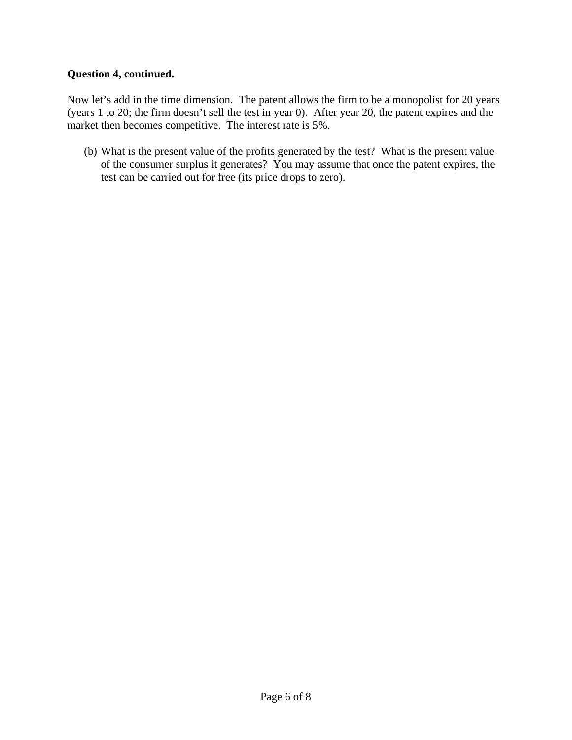## **Question 4, continued.**

Now let's add in the time dimension. The patent allows the firm to be a monopolist for 20 years (years 1 to 20; the firm doesn't sell the test in year 0). After year 20, the patent expires and the market then becomes competitive. The interest rate is 5%.

(b) What is the present value of the profits generated by the test? What is the present value of the consumer surplus it generates? You may assume that once the patent expires, the test can be carried out for free (its price drops to zero).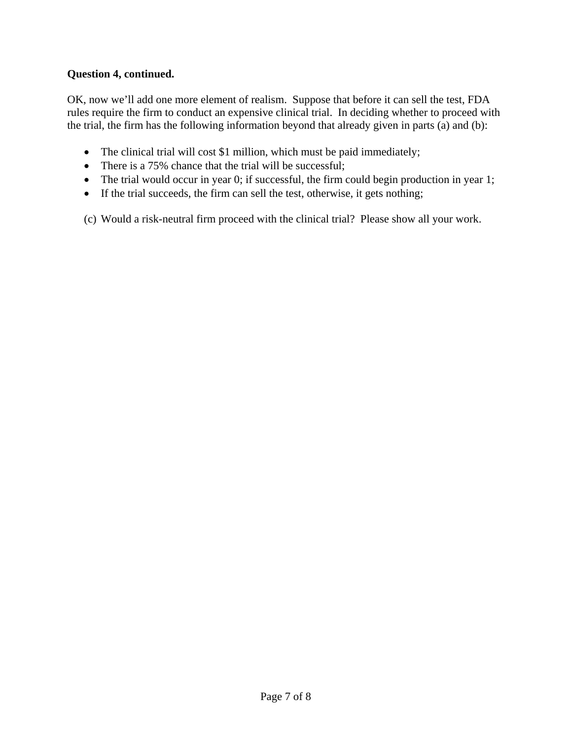# **Question 4, continued.**

OK, now we'll add one more element of realism. Suppose that before it can sell the test, FDA rules require the firm to conduct an expensive clinical trial. In deciding whether to proceed with the trial, the firm has the following information beyond that already given in parts (a) and (b):

- The clinical trial will cost \$1 million, which must be paid immediately;
- There is a 75% chance that the trial will be successful;
- The trial would occur in year 0; if successful, the firm could begin production in year 1;
- If the trial succeeds, the firm can sell the test, otherwise, it gets nothing;

(c) Would a risk-neutral firm proceed with the clinical trial? Please show all your work.